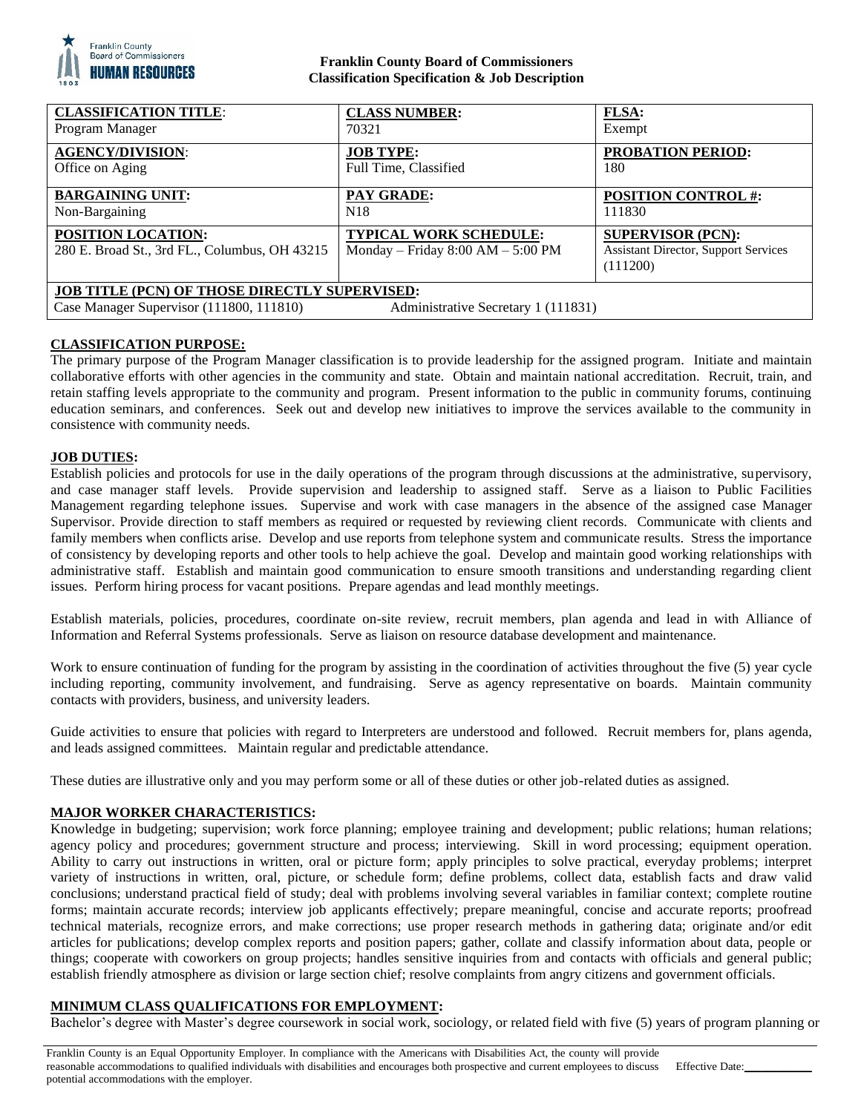

## **Franklin County Board of Commissioners Classification Specification & Job Description**

| <b>CLASS NUMBER:</b>                                                                             | FLSA:                                                                               |
|--------------------------------------------------------------------------------------------------|-------------------------------------------------------------------------------------|
| 70321                                                                                            | Exempt                                                                              |
| <b>JOB TYPE:</b>                                                                                 | <b>PROBATION PERIOD:</b>                                                            |
| Full Time, Classified                                                                            | 180                                                                                 |
| <b>PAY GRADE:</b>                                                                                | <b>POSITION CONTROL #:</b>                                                          |
| N <sub>18</sub>                                                                                  | 111830                                                                              |
| <b>TYPICAL WORK SCHEDULE:</b><br>Monday – Friday $8:00$ AM – $5:00$ PM                           | <b>SUPERVISOR (PCN):</b><br><b>Assistant Director, Support Services</b><br>(111200) |
| <b>JOB TITLE (PCN) OF THOSE DIRECTLY SUPERVISED:</b><br>Case Manager Supervisor (111800, 111810) |                                                                                     |
|                                                                                                  | Administrative Secretary 1 (111831)                                                 |

# **CLASSIFICATION PURPOSE:**

The primary purpose of the Program Manager classification is to provide leadership for the assigned program. Initiate and maintain collaborative efforts with other agencies in the community and state. Obtain and maintain national accreditation. Recruit, train, and retain staffing levels appropriate to the community and program. Present information to the public in community forums, continuing education seminars, and conferences. Seek out and develop new initiatives to improve the services available to the community in consistence with community needs.

## **JOB DUTIES:**

Establish policies and protocols for use in the daily operations of the program through discussions at the administrative, supervisory, and case manager staff levels. Provide supervision and leadership to assigned staff. Serve as a liaison to Public Facilities Management regarding telephone issues. Supervise and work with case managers in the absence of the assigned case Manager Supervisor. Provide direction to staff members as required or requested by reviewing client records. Communicate with clients and family members when conflicts arise. Develop and use reports from telephone system and communicate results. Stress the importance of consistency by developing reports and other tools to help achieve the goal. Develop and maintain good working relationships with administrative staff. Establish and maintain good communication to ensure smooth transitions and understanding regarding client issues. Perform hiring process for vacant positions. Prepare agendas and lead monthly meetings.

Establish materials, policies, procedures, coordinate on-site review, recruit members, plan agenda and lead in with Alliance of Information and Referral Systems professionals. Serve as liaison on resource database development and maintenance.

Work to ensure continuation of funding for the program by assisting in the coordination of activities throughout the five (5) year cycle including reporting, community involvement, and fundraising. Serve as agency representative on boards. Maintain community contacts with providers, business, and university leaders.

Guide activities to ensure that policies with regard to Interpreters are understood and followed. Recruit members for, plans agenda, and leads assigned committees. Maintain regular and predictable attendance.

These duties are illustrative only and you may perform some or all of these duties or other job-related duties as assigned.

# **MAJOR WORKER CHARACTERISTICS:**

Knowledge in budgeting; supervision; work force planning; employee training and development; public relations; human relations; agency policy and procedures; government structure and process; interviewing. Skill in word processing; equipment operation. Ability to carry out instructions in written, oral or picture form; apply principles to solve practical, everyday problems; interpret variety of instructions in written, oral, picture, or schedule form; define problems, collect data, establish facts and draw valid conclusions; understand practical field of study; deal with problems involving several variables in familiar context; complete routine forms; maintain accurate records; interview job applicants effectively; prepare meaningful, concise and accurate reports; proofread technical materials, recognize errors, and make corrections; use proper research methods in gathering data; originate and/or edit articles for publications; develop complex reports and position papers; gather, collate and classify information about data, people or things; cooperate with coworkers on group projects; handles sensitive inquiries from and contacts with officials and general public; establish friendly atmosphere as division or large section chief; resolve complaints from angry citizens and government officials.

## **MINIMUM CLASS QUALIFICATIONS FOR EMPLOYMENT:**

Bachelor's degree with Master's degree coursework in social work, sociology, or related field with five (5) years of program planning or